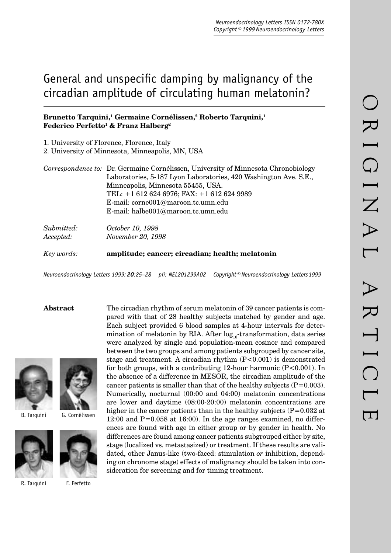# General and unspecific damping by malignancy of the circadian amplitude of circulating human melatonin?

# Brunetto Tarquini,<sup>1</sup> Germaine Cornélissen,<sup>2</sup> Roberto Tarquini,<sup>1</sup> **Federico Perfetto1 & Franz Halberg2**

1. University of Florence, Florence, Italy

2. University of Minnesota, Minneapolis, MN, USA

| Correspondence to: Dr. Germaine Cornélissen, University of Minnesota Chronobiology |
|------------------------------------------------------------------------------------|
| Laboratories, 5-187 Lyon Laboratories, 420 Washington Ave. S.E.,                   |
| Minneapolis, Minnesota 55455, USA.                                                 |
| TEL: +1 612 624 6976; FAX: +1 612 624 9989                                         |
| E-mail: corne001@maroon.tc.umn.edu                                                 |
| E-mail: halbe $001@$ maroon.tc.umn.edu                                             |
|                                                                                    |
|                                                                                    |

*Submitted: October 10, 1998 Accepted: November 20, 1998*

*Key words:* **amplitude; cancer; circadian; health; melatonin**

*Neuroendocrinology Letters 1999; 20:25–28 pii: NEL201299A02 Copyright © Neuroendocrinology Letters 1999*





B. Tarquini G. Cornélissen



R. Tarquini F. Perfetto

**Abstract** The circadian rhythm of serum melatonin of 39 cancer patients is compared with that of 28 healthy subjects matched by gender and age. Each subject provided 6 blood samples at 4-hour intervals for determination of melatonin by RIA. After  $log_{10}$ -transformation, data series were analyzed by single and population-mean cosinor and compared between the two groups and among patients subgrouped by cancer site, stage and treatment. A circadian rhythm  $(P<0.001)$  is demonstrated for both groups, with a contributing 12-hour harmonic  $(P<0.001)$ . In the absence of a difference in MESOR, the circadian amplitude of the cancer patients is smaller than that of the healthy subjects  $(P=0.003)$ . Numerically, nocturnal (00:00 and 04:00) melatonin concentrations are lower and daytime (08:00-20:00) melatonin concentrations are higher in the cancer patients than in the healthy subjects  $(P=0.032$  at  $12:00$  and  $P=0.058$  at  $16:00$ ). In the age ranges examined, no differences are found with age in either group or by gender in health. No differences are found among cancer patients subgrouped either by site, stage (localized vs. metastasized) or treatment. If these results are validated, other Janus-like (two-faced: stimulation *or* inhibition, depending on chronome stage) effects of malignancy should be taken into consideration for screening and for timing treatment.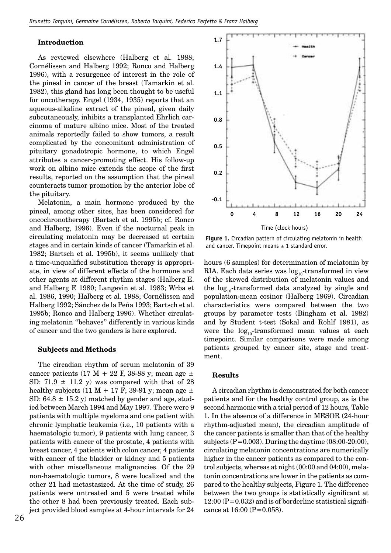#### **Introduction**

As reviewed elsewhere (Halberg et al. 1988; Cornélissen and Halberg 1992; Ronco and Halberg 1996), with a resurgence of interest in the role of the pineal in cancer of the breast (Tamarkin et al. 1982), this gland has long been thought to be useful for oncotherapy. Engel (1934, 1935) reports that an aqueous-alkaline extract of the pineal, given daily subcutaneously, inhibits a transplanted Ehrlich carcinoma of mature albino mice. Most of the treated animals reportedly failed to show tumors, a result complicated by the concomitant administration of pituitary gonadotropic hormone, to which Engel attributes a cancer-promoting effect. His follow-up work on albino mice extends the scope of the first results, reported on the assumption that the pineal counteracts tumor promotion by the anterior lobe of the pituitary.

Melatonin, a main hormone produced by the pineal, among other sites, has been considered for oncochronotherapy (Bartsch et al. 1995b; cf. Ronco and Halberg, 1996). Even if the nocturnal peak in circulating melatonin may be decreased at certain stages and in certain kinds of cancer (Tamarkin et al. 1982; Bartsch et al. 1995b), it seems unlikely that a time-unqualified substitution therapy is appropriate, in view of different effects of the hormone and other agents at different rhythm stages (Halberg E. and Halberg F. 1980; Langevin et al. 1983; Wrba et al. 1986, 1990; Halberg et al. 1988; Cornélissen and Halberg 1992; Sánchez de la Peña 1993; Bartsch et al. 1995b; Ronco and Halberg 1996). Whether circulating melatonin "behaves" differently in various kinds of cancer and the two genders is here explored.

#### **Subjects and Methods**

The circadian rhythm of serum melatonin of 39 cancer patients (17 M + 22 F, 38-88 y; mean age  $\pm$ SD:  $71.9 \pm 11.2$  y) was compared with that of 28 healthy subjects (11 M + 17 F; 39-91 y; mean age  $\pm$ SD:  $64.8 \pm 15.2$  y) matched by gender and age, studied between March 1994 and May 1997. There were 9 patients with multiple myeloma and one patient with chronic lymphatic leukemia (i.e., 10 patients with a haematologic tumor), 9 patients with lung cancer, 3 patients with cancer of the prostate, 4 patients with breast cancer, 4 patients with colon cancer, 4 patients with cancer of the bladder or kidney and 5 patients with other miscellaneous malignancies. Of the 29 non-haematologic tumors, 8 were localized and the other 21 had metastasized. At the time of study, 26 patients were untreated and 5 were treated while the other 8 had been previously treated. Each subject provided blood samples at 4-hour intervals for 24



**Figure 1.** Circadian pattern of circulating melatonin in health and cancer. Timepoint means  $\pm$  1 standard error.

hours (6 samples) for determination of melatonin by RIA. Each data series was  $log_{10}$ -transformed in view of the skewed distribution of melatonin values and the  $log_{10}$ -transformed data analyzed by single and population-mean cosinor (Halberg 1969). Circadian characteristics were compared between the two groups by parameter tests (Bingham et al. 1982) and by Student t-test (Sokal and Rohlf 1981), as were the  $log_{10}$ -transformed mean values at each timepoint. Similar comparisons were made among patients grouped by cancer site, stage and treatment.

#### **Results**

A circadian rhythm is demonstrated for both cancer patients and for the healthy control group, as is the second harmonic with a trial period of 12 hours, Table 1. In the absence of a difference in MESOR (24-hour rhythm-adjusted mean), the circadian amplitude of the cancer patients is smaller than that of the healthy subjects  $(P=0.003)$ . During the daytime  $(08:00-20:00)$ , circulating melatonin concentrations are numerically higher in the cancer patients as compared to the control subjects, whereas at night (00:00 and 04:00), melatonin concentrations are lower in the patients as compared to the healthy subjects, Figure 1. The difference between the two groups is statistically significant at  $12:00$  (P=0.032) and is of borderline statistical significance at 16:00 (P=0.058).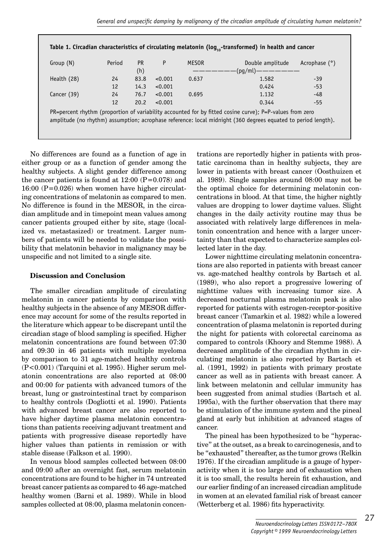| (h)<br>Health (28)<br>24<br>83.8<br>< 0.001<br>14.3<br>< 0.001<br>12 | ————————————————————    |
|----------------------------------------------------------------------|-------------------------|
|                                                                      |                         |
|                                                                      | 1.582<br>$-39$<br>0.637 |
|                                                                      | 0.424<br>$-53$          |
| 24<br>Cancer (39)<br>76.7<br>< 0.001                                 | 1.132<br>0.695<br>$-48$ |
| 12<br>20.2<br>< 0.001                                                | 0.344<br>-55            |

No differences are found as a function of age in either group or as a function of gender among the healthy subjects. A slight gender difference among the cancer patients is found at  $12:00$  (P=0.078) and 16:00 (P=0.026) when women have higher circulating concentrations of melatonin as compared to men. No difference is found in the MESOR, in the circadian amplitude and in timepoint mean values among cancer patients grouped either by site, stage (localized vs. metastasized) or treatment. Larger numbers of patients will be needed to validate the possibility that melatonin behavior in malignancy may be unspecific and not limited to a single site.

# **Discussion and Conclusion**

The smaller circadian amplitude of circulating melatonin in cancer patients by comparison with healthy subjects in the absence of any MESOR difference may account for some of the results reported in the literature which appear to be discrepant until the circadian stage of blood sampling is specified. Higher melatonin concentrations are found between 07:30 and 09:30 in 46 patients with multiple myeloma by comparison to 31 age-matched healthy controls (P<0.001) (Tarquini et al. 1995). Higher serum melatonin concentrations are also reported at 08:00 and 00:00 for patients with advanced tumors of the breast, lung or gastrointestinal tract by comparison to healthy controls (Dogliotti et al. 1990). Patients with advanced breast cancer are also reported to have higher daytime plasma melatonin concentrations than patients receiving adjuvant treatment and patients with progressive disease reportedly have higher values than patients in remission or with stable disease (Falkson et al. 1990).

In venous blood samples collected between 08:00 and 09:00 after an overnight fast, serum melatonin concentrations are found to be higher in 74 untreated breast cancer patients as compared to 46 age-matched healthy women (Barni et al. 1989). While in blood samples collected at 08:00, plasma melatonin concentrations are reportedly higher in patients with prostatic carcinoma than in healthy subjects, they are lower in patients with breast cancer (Oosthuizen et al. 1989). Single samples around 08:00 may not be the optimal choice for determining melatonin concentrations in blood. At that time, the higher nightly values are dropping to lower daytime values. Slight changes in the daily activity routine may thus be associated with relatively large differences in melatonin concentration and hence with a larger uncertainty than that expected to characterize samples collected later in the day.

Lower nighttime circulating melatonin concentrations are also reported in patients with breast cancer vs. age-matched healthy controls by Bartsch et al. (1989), who also report a progressive lowering of nighttime values with increasing tumor size. A decreased nocturnal plasma melatonin peak is also reported for patients with estrogen-receptor-positive breast cancer (Tamarkin et al. 1982) while a lowered concentration of plasma melatonin is reported during the night for patients with colorectal carcinoma as compared to controls (Khoory and Stemme 1988). A decreased amplitude of the circadian rhythm in circulating melatonin is also reported by Bartsch et al. (1991, 1992) in patients with primary prostate cancer as well as in patients with breast cancer. A link between melatonin and cellular immunity has been suggested from animal studies (Bartsch et al. 1995a), with the further observation that there may be stimulation of the immune system and the pineal gland at early but inhibition at advanced stages of cancer.

The pineal has been hypothesized to be "hyperactive" at the outset, as a break to carcinogenesis, and to be "exhausted" thereafter, as the tumor grows (Relkin 1976). If the circadian amplitude is a gauge of hyperactivity when it is too large and of exhaustion when it is too small, the results herein fit exhaustion, and our earlier finding of an increased circadian amplitude in women at an elevated familial risk of breast cancer (Wetterberg et al. 1986) fits hyperactivity.